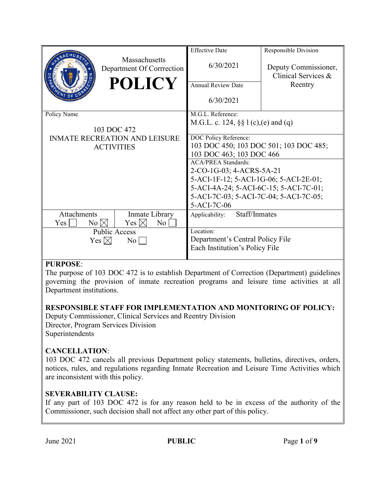|                                      |                                            | <b>Effective Date</b>                    | Responsible Division                        |
|--------------------------------------|--------------------------------------------|------------------------------------------|---------------------------------------------|
|                                      | Massachusetts<br>Department Of Corrrection | 6/30/2021                                | Deputy Commissioner,<br>Clinical Services & |
|                                      | <b>POLICY</b>                              | <b>Annual Review Date</b>                | Reentry                                     |
|                                      |                                            | 6/30/2021                                |                                             |
| Policy Name                          |                                            | M.G.L. Reference:                        |                                             |
|                                      |                                            | M.G.L. c. 124, $\S\S 1(c)$ , (e) and (q) |                                             |
| 103 DOC 472                          |                                            |                                          |                                             |
| <b>INMATE RECREATION AND LEISURE</b> |                                            | DOC Policy Reference:                    |                                             |
| <b>ACTIVITIES</b>                    |                                            | 103 DOC 450; 103 DOC 501; 103 DOC 485;   |                                             |
|                                      |                                            | 103 DOC 463; 103 DOC 466                 |                                             |
|                                      |                                            | <b>ACA/PREA Standards:</b>               |                                             |
|                                      |                                            | 2-CO-1G-03; 4-ACRS-5A-21                 |                                             |
|                                      |                                            | 5-ACI-1F-12; 5-ACI-1G-06; 5-ACI-2E-01;   |                                             |
|                                      |                                            | 5-ACI-4A-24; 5-ACI-6C-15; 5-ACI-7C-01;   |                                             |
|                                      |                                            | 5-ACI-7C-03; 5-ACI-7C-04; 5-ACI-7C-05;   |                                             |
|                                      |                                            | 5-ACI-7C-06                              |                                             |
| Attachments                          | Inmate Library                             | Staff/Inmates<br>Applicability:          |                                             |
| $No \bowtie$<br>Yes                  | Yes $\boxtimes$<br>No                      |                                          |                                             |
| <b>Public Access</b>                 |                                            | Location:                                |                                             |
| Yes $\boxtimes$<br>$\overline{N_0}$  |                                            | Department's Central Policy File         |                                             |
|                                      |                                            | Each Institution's Policy File           |                                             |
|                                      |                                            |                                          |                                             |

# **PURPOSE**:

The purpose of 103 DOC 472 is to establish Department of Correction (Department) guidelines governing the provision of inmate recreation programs and leisure time activities at all Department institutions.

# **RESPONSIBLE STAFF FOR IMPLEMENTATION AND MONITORING OF POLICY:**

Deputy Commissioner, Clinical Services and Reentry Division Director, Program Services Division Superintendents

# **CANCELLATION**:

103 DOC 472 cancels all previous Department policy statements, bulletins, directives, orders, notices, rules, and regulations regarding Inmate Recreation and Leisure Time Activities which are inconsistent with this policy.

# **SEVERABILITY CLAUSE:**

If any part of 103 DOC 472 is for any reason held to be in excess of the authority of the Commissioner, such decision shall not affect any other part of this policy.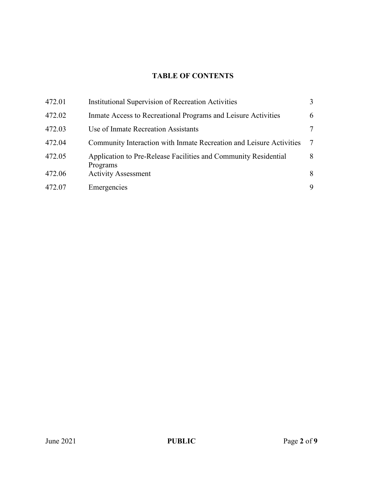# **TABLE OF CONTENTS**

| 472.01 | <b>Institutional Supervision of Recreation Activities</b>                   | 3              |
|--------|-----------------------------------------------------------------------------|----------------|
| 472.02 | Inmate Access to Recreational Programs and Leisure Activities               | 6              |
| 472.03 | Use of Inmate Recreation Assistants                                         | 7              |
| 472.04 | Community Interaction with Inmate Recreation and Leisure Activities         | $\overline{7}$ |
| 472.05 | Application to Pre-Release Facilities and Community Residential<br>Programs | 8              |
| 472.06 | <b>Activity Assessment</b>                                                  | 8              |
| 472.07 | Emergencies                                                                 | 9              |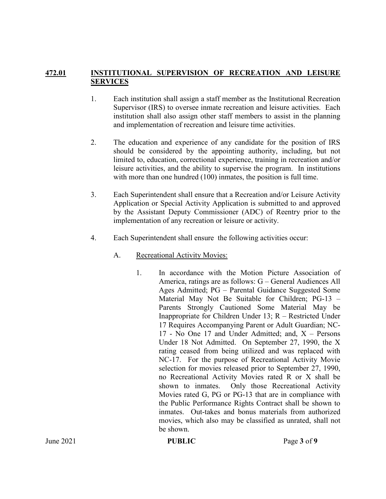#### **472.01 INSTITUTIONAL SUPERVISION OF RECREATION AND LEISURE SERVICES**

- 1. Each institution shall assign a staff member as the Institutional Recreation Supervisor (IRS) to oversee inmate recreation and leisure activities. Each institution shall also assign other staff members to assist in the planning and implementation of recreation and leisure time activities.
- 2. The education and experience of any candidate for the position of IRS should be considered by the appointing authority, including, but not limited to, education, correctional experience, training in recreation and/or leisure activities, and the ability to supervise the program. In institutions with more than one hundred (100) inmates, the position is full time.
- 3. Each Superintendent shall ensure that a Recreation and/or Leisure Activity Application or Special Activity Application is submitted to and approved by the Assistant Deputy Commissioner (ADC) of Reentry prior to the implementation of any recreation or leisure or activity.
- 4. Each Superintendent shall ensure the following activities occur:
	- A. Recreational Activity Movies:
		- 1. In accordance with the Motion Picture Association of America, ratings are as follows: G – General Audiences All Ages Admitted; PG – Parental Guidance Suggested Some Material May Not Be Suitable for Children; PG-13 – Parents Strongly Cautioned Some Material May be Inappropriate for Children Under 13; R – Restricted Under 17 Requires Accompanying Parent or Adult Guardian; NC-17 - No One 17 and Under Admitted; and, X – Persons Under 18 Not Admitted. On September 27, 1990, the X rating ceased from being utilized and was replaced with NC-17. For the purpose of Recreational Activity Movie selection for movies released prior to September 27, 1990, no Recreational Activity Movies rated R or X shall be shown to inmates. Only those Recreational Activity Movies rated G, PG or PG-13 that are in compliance with the Public Performance Rights Contract shall be shown to inmates. Out-takes and bonus materials from authorized movies, which also may be classified as unrated, shall not be shown.

**If**  $\text{PUBLIC}$  PubLIC Page 3 of 9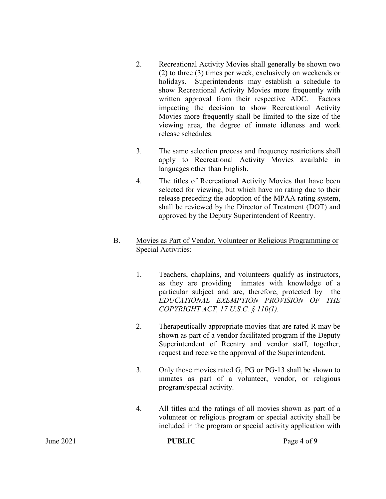- 2. Recreational Activity Movies shall generally be shown two (2) to three (3) times per week, exclusively on weekends or holidays. Superintendents may establish a schedule to show Recreational Activity Movies more frequently with written approval from their respective ADC. Factors impacting the decision to show Recreational Activity Movies more frequently shall be limited to the size of the viewing area, the degree of inmate idleness and work release schedules.
- 3. The same selection process and frequency restrictions shall apply to Recreational Activity Movies available in languages other than English.
- 4. The titles of Recreational Activity Movies that have been selected for viewing, but which have no rating due to their release preceding the adoption of the MPAA rating system, shall be reviewed by the Director of Treatment (DOT) and approved by the Deputy Superintendent of Reentry.

# B. Movies as Part of Vendor, Volunteer or Religious Programming or Special Activities:

- 1. Teachers, chaplains, and volunteers qualify as instructors, as they are providing inmates with knowledge of a particular subject and are, therefore, protected by the *EDUCATIONAL EXEMPTION PROVISION OF THE COPYRIGHT ACT, 17 U.S.C. § 110(1).*
- 2. Therapeutically appropriate movies that are rated R may be shown as part of a vendor facilitated program if the Deputy Superintendent of Reentry and vendor staff, together, request and receive the approval of the Superintendent.
- 3. Only those movies rated G, PG or PG-13 shall be shown to inmates as part of a volunteer, vendor, or religious program/special activity.
- 4. All titles and the ratings of all movies shown as part of a volunteer or religious program or special activity shall be included in the program or special activity application with

|           | . .           |             |
|-----------|---------------|-------------|
| June 2021 | <b>PUBLIC</b> | Page 4 of 9 |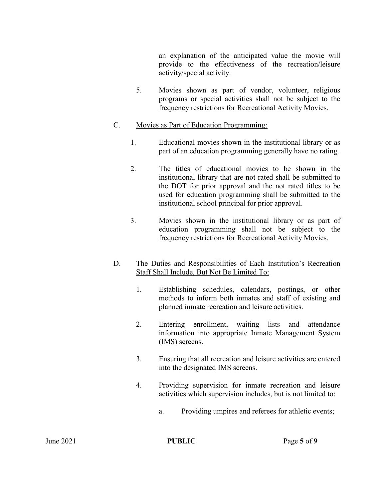an explanation of the anticipated value the movie will provide to the effectiveness of the recreation/leisure activity/special activity.

5. Movies shown as part of vendor, volunteer, religious programs or special activities shall not be subject to the frequency restrictions for Recreational Activity Movies.

#### C. Movies as Part of Education Programming:

- 1. Educational movies shown in the institutional library or as part of an education programming generally have no rating.
- 2. The titles of educational movies to be shown in the institutional library that are not rated shall be submitted to the DOT for prior approval and the not rated titles to be used for education programming shall be submitted to the institutional school principal for prior approval.
- 3. Movies shown in the institutional library or as part of education programming shall not be subject to the frequency restrictions for Recreational Activity Movies.

# D. The Duties and Responsibilities of Each Institution's Recreation Staff Shall Include, But Not Be Limited To:

- 1. Establishing schedules, calendars, postings, or other methods to inform both inmates and staff of existing and planned inmate recreation and leisure activities.
- 2. Entering enrollment, waiting lists and attendance information into appropriate Inmate Management System (IMS) screens.
- 3. Ensuring that all recreation and leisure activities are entered into the designated IMS screens.
- 4. Providing supervision for inmate recreation and leisure activities which supervision includes, but is not limited to:
	- a. Providing umpires and referees for athletic events;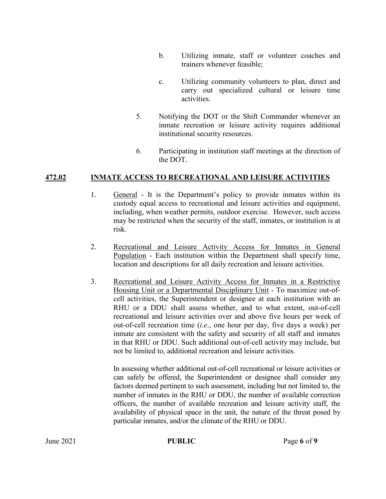- b. Utilizing inmate, staff or volunteer coaches and trainers whenever feasible;
- c. Utilizing community volunteers to plan, direct and carry out specialized cultural or leisure time activities.
- 5. Notifying the DOT or the Shift Commander whenever an inmate recreation or leisure activity requires additional institutional security resources.
- 6. Participating in institution staff meetings at the direction of the DOT.

#### **472.02 INMATE ACCESS TO RECREATIONAL AND LEISURE ACTIVITIES**

- 1. General It is the Department's policy to provide inmates within its custody equal access to recreational and leisure activities and equipment, including, when weather permits, outdoor exercise. However, such access may be restricted when the security of the staff, inmates, or institution is at risk.
- 2. Recreational and Leisure Activity Access for Inmates in General Population - Each institution within the Department shall specify time, location and descriptions for all daily recreation and leisure activities.
- 3. Recreational and Leisure Activity Access for Inmates in a Restrictive Housing Unit or a Departmental Disciplinary Unit - To maximize out-ofcell activities, the Superintendent or designee at each institution with an RHU or a DDU shall assess whether, and to what extent, out-of-cell recreational and leisure activities over and above five hours per week of out-of-cell recreation time (*i.e*., one hour per day, five days a week) per inmate are consistent with the safety and security of all staff and inmates in that RHU or DDU. Such additional out-of-cell activity may include, but not be limited to, additional recreation and leisure activities.

In assessing whether additional out-of-cell recreational or leisure activities or can safely be offered, the Superintendent or designee shall consider any factors deemed pertinent to such assessment, including but not limited to, the number of inmates in the RHU or DDU, the number of available correction officers, the number of available recreation and leisure activity staff, the availability of physical space in the unit, the nature of the threat posed by particular inmates, and/or the climate of the RHU or DDU.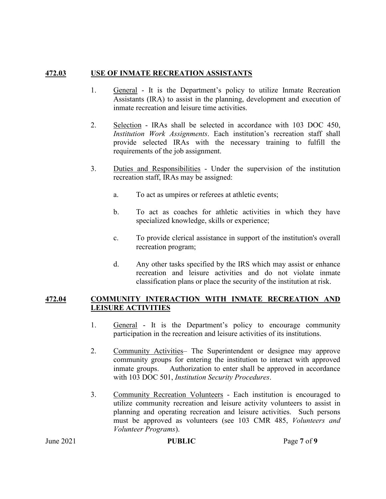#### **472.03 USE OF INMATE RECREATION ASSISTANTS**

- 1. General It is the Department's policy to utilize Inmate Recreation Assistants (IRA) to assist in the planning, development and execution of inmate recreation and leisure time activities.
- 2. Selection IRAs shall be selected in accordance with 103 DOC 450, *Institution Work Assignments*. Each institution's recreation staff shall provide selected IRAs with the necessary training to fulfill the requirements of the job assignment.
- 3. Duties and Responsibilities Under the supervision of the institution recreation staff, IRAs may be assigned:
	- a. To act as umpires or referees at athletic events;
	- b. To act as coaches for athletic activities in which they have specialized knowledge, skills or experience;
	- c. To provide clerical assistance in support of the institution's overall recreation program;
	- d. Any other tasks specified by the IRS which may assist or enhance recreation and leisure activities and do not violate inmate classification plans or place the security of the institution at risk.

#### **472.04 COMMUNITY INTERACTION WITH INMATE RECREATION AND LEISURE ACTIVITIES**

- 1. General It is the Department's policy to encourage community participation in the recreation and leisure activities of its institutions.
- 2. Community Activities– The Superintendent or designee may approve community groups for entering the institution to interact with approved inmate groups. Authorization to enter shall be approved in accordance with 103 DOC 501, *Institution Security Procedures*.
- 3. Community Recreation Volunteers Each institution is encouraged to utilize community recreation and leisure activity volunteers to assist in planning and operating recreation and leisure activities. Such persons must be approved as volunteers (see 103 CMR 485, *Volunteers and Volunteer Programs*).

**PUBLIC** Page 7 of 9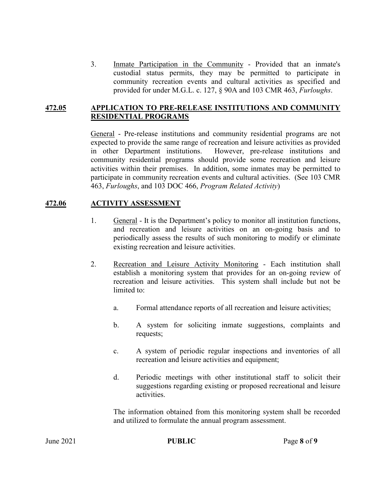3. Inmate Participation in the Community - Provided that an inmate's custodial status permits, they may be permitted to participate in community recreation events and cultural activities as specified and provided for under M.G.L. c. 127, § 90A and 103 CMR 463, *Furloughs*.

#### **472.05 APPLICATION TO PRE-RELEASE INSTITUTIONS AND COMMUNITY RESIDENTIAL PROGRAMS**

General - Pre-release institutions and community residential programs are not expected to provide the same range of recreation and leisure activities as provided in other Department institutions. However, pre-release institutions and community residential programs should provide some recreation and leisure activities within their premises. In addition, some inmates may be permitted to participate in community recreation events and cultural activities. (See 103 CMR 463, *Furloughs*, and 103 DOC 466, *Program Related Activity*)

# **472.06 ACTIVITY ASSESSMENT**

- 1. General It is the Department's policy to monitor all institution functions, and recreation and leisure activities on an on-going basis and to periodically assess the results of such monitoring to modify or eliminate existing recreation and leisure activities.
- 2. Recreation and Leisure Activity Monitoring Each institution shall establish a monitoring system that provides for an on-going review of recreation and leisure activities. This system shall include but not be limited to:
	- a. Formal attendance reports of all recreation and leisure activities;
	- b. A system for soliciting inmate suggestions, complaints and requests;
	- c. A system of periodic regular inspections and inventories of all recreation and leisure activities and equipment;
	- d. Periodic meetings with other institutional staff to solicit their suggestions regarding existing or proposed recreational and leisure activities.

The information obtained from this monitoring system shall be recorded and utilized to formulate the annual program assessment.